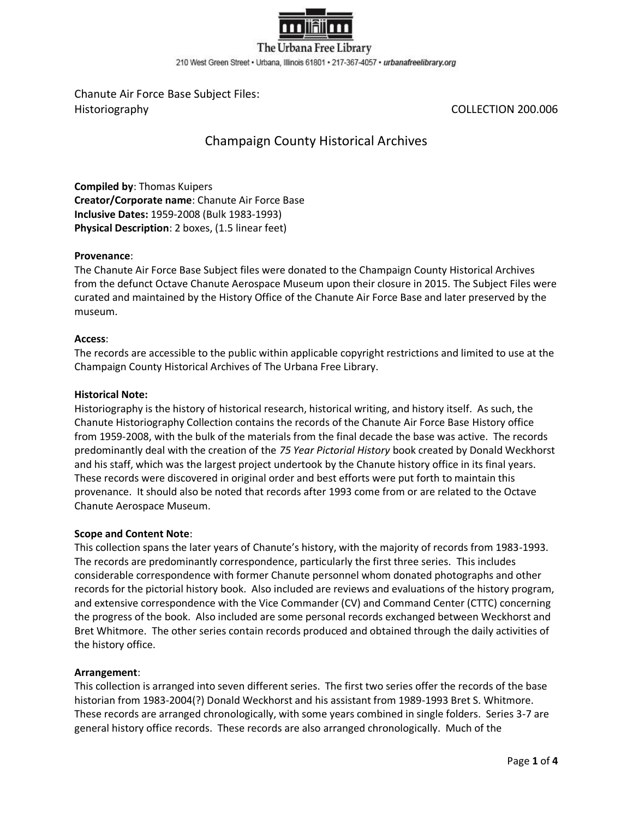

The Urbana Free Library 210 West Green Street . Urbana, Illinois 61801 . 217-367-4057 . urbanafreelibrary.org

Chanute Air Force Base Subject Files: Historiography COLLECTION 200.006

# Champaign County Historical Archives

**Compiled by**: Thomas Kuipers **Creator/Corporate name**: Chanute Air Force Base **Inclusive Dates:** 1959-2008 (Bulk 1983-1993) **Physical Description**: 2 boxes, (1.5 linear feet)

## **Provenance**:

The Chanute Air Force Base Subject files were donated to the Champaign County Historical Archives from the defunct Octave Chanute Aerospace Museum upon their closure in 2015. The Subject Files were curated and maintained by the History Office of the Chanute Air Force Base and later preserved by the museum.

## **Access**:

The records are accessible to the public within applicable copyright restrictions and limited to use at the Champaign County Historical Archives of The Urbana Free Library.

## **Historical Note:**

Historiography is the history of historical research, historical writing, and history itself. As such, the Chanute Historiography Collection contains the records of the Chanute Air Force Base History office from 1959-2008, with the bulk of the materials from the final decade the base was active. The records predominantly deal with the creation of the *75 Year Pictorial History* book created by Donald Weckhorst and his staff, which was the largest project undertook by the Chanute history office in its final years. These records were discovered in original order and best efforts were put forth to maintain this provenance. It should also be noted that records after 1993 come from or are related to the Octave Chanute Aerospace Museum.

#### **Scope and Content Note**:

This collection spans the later years of Chanute's history, with the majority of records from 1983-1993. The records are predominantly correspondence, particularly the first three series. This includes considerable correspondence with former Chanute personnel whom donated photographs and other records for the pictorial history book. Also included are reviews and evaluations of the history program, and extensive correspondence with the Vice Commander (CV) and Command Center (CTTC) concerning the progress of the book. Also included are some personal records exchanged between Weckhorst and Bret Whitmore. The other series contain records produced and obtained through the daily activities of the history office.

#### **Arrangement**:

This collection is arranged into seven different series. The first two series offer the records of the base historian from 1983-2004(?) Donald Weckhorst and his assistant from 1989-1993 Bret S. Whitmore. These records are arranged chronologically, with some years combined in single folders. Series 3-7 are general history office records. These records are also arranged chronologically. Much of the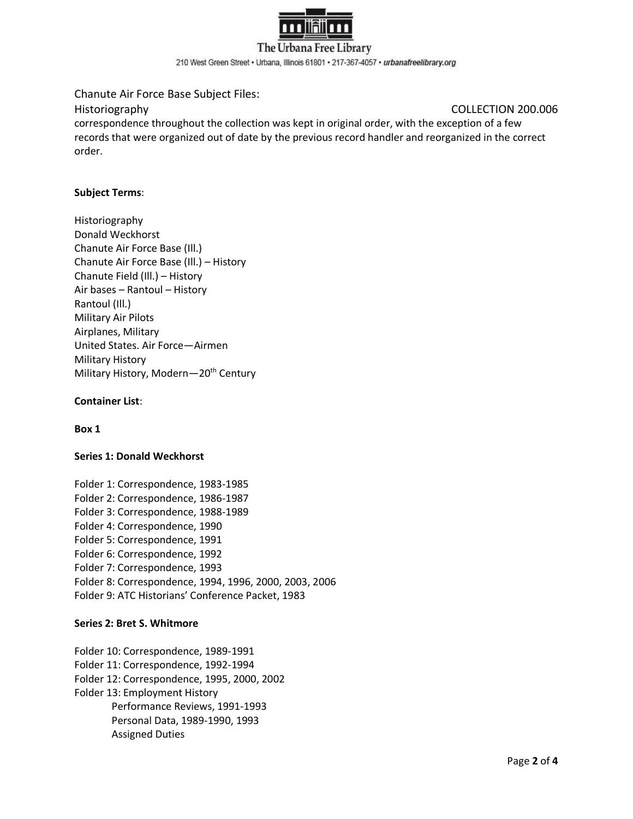

210 West Green Street . Urbana, Illinois 61801 . 217-367-4057 . urbanafreelibrary.org

Chanute Air Force Base Subject Files:

## Historiography COLLECTION 200.006

correspondence throughout the collection was kept in original order, with the exception of a few records that were organized out of date by the previous record handler and reorganized in the correct order.

# **Subject Terms**:

Historiography Donald Weckhorst Chanute Air Force Base (Ill.) Chanute Air Force Base (Ill.) – History Chanute Field (Ill.) – History Air bases – Rantoul – History Rantoul (Ill.) Military Air Pilots Airplanes, Military United States. Air Force—Airmen Military History Military History, Modern-20<sup>th</sup> Century

## **Container List**:

#### **Box 1**

#### **Series 1: Donald Weckhorst**

Folder 1: Correspondence, 1983-1985 Folder 2: Correspondence, 1986-1987 Folder 3: Correspondence, 1988-1989 Folder 4: Correspondence, 1990 Folder 5: Correspondence, 1991 Folder 6: Correspondence, 1992 Folder 7: Correspondence, 1993 Folder 8: Correspondence, 1994, 1996, 2000, 2003, 2006 Folder 9: ATC Historians' Conference Packet, 1983

#### **Series 2: Bret S. Whitmore**

Folder 10: Correspondence, 1989-1991 Folder 11: Correspondence, 1992-1994 Folder 12: Correspondence, 1995, 2000, 2002 Folder 13: Employment History Performance Reviews, 1991-1993 Personal Data, 1989-1990, 1993 Assigned Duties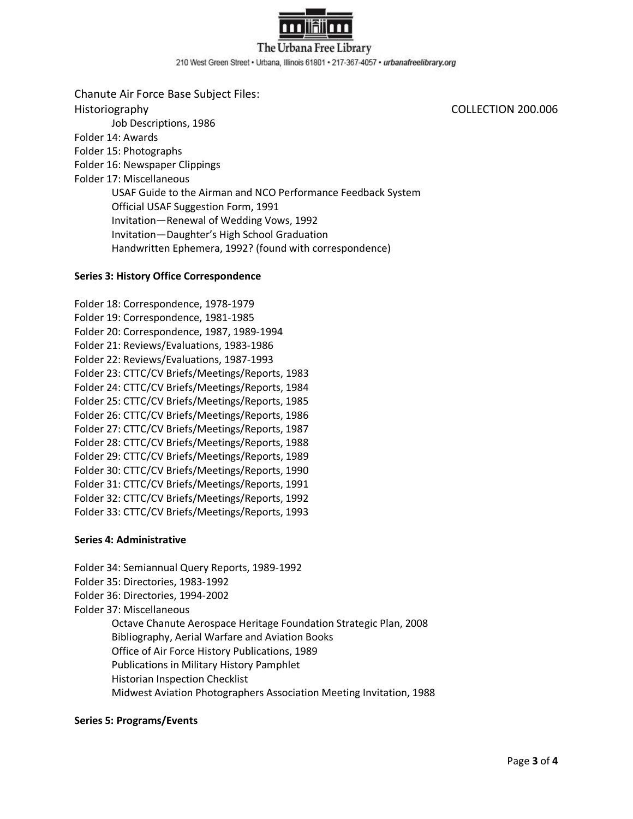

The Urbana Free Library 210 West Green Street . Urbana, Illinois 61801 . 217-367-4057 . urbanafreelibrary.org

Chanute Air Force Base Subject Files: Historiography COLLECTION 200.006 Job Descriptions, 1986 Folder 14: Awards Folder 15: Photographs Folder 16: Newspaper Clippings Folder 17: Miscellaneous USAF Guide to the Airman and NCO Performance Feedback System Official USAF Suggestion Form, 1991 Invitation—Renewal of Wedding Vows, 1992 Invitation—Daughter's High School Graduation Handwritten Ephemera, 1992? (found with correspondence)

#### **Series 3: History Office Correspondence**

Folder 18: Correspondence, 1978-1979 Folder 19: Correspondence, 1981-1985 Folder 20: Correspondence, 1987, 1989-1994 Folder 21: Reviews/Evaluations, 1983-1986 Folder 22: Reviews/Evaluations, 1987-1993 Folder 23: CTTC/CV Briefs/Meetings/Reports, 1983 Folder 24: CTTC/CV Briefs/Meetings/Reports, 1984 Folder 25: CTTC/CV Briefs/Meetings/Reports, 1985 Folder 26: CTTC/CV Briefs/Meetings/Reports, 1986 Folder 27: CTTC/CV Briefs/Meetings/Reports, 1987 Folder 28: CTTC/CV Briefs/Meetings/Reports, 1988 Folder 29: CTTC/CV Briefs/Meetings/Reports, 1989 Folder 30: CTTC/CV Briefs/Meetings/Reports, 1990 Folder 31: CTTC/CV Briefs/Meetings/Reports, 1991 Folder 32: CTTC/CV Briefs/Meetings/Reports, 1992 Folder 33: CTTC/CV Briefs/Meetings/Reports, 1993

#### **Series 4: Administrative**

Folder 34: Semiannual Query Reports, 1989-1992 Folder 35: Directories, 1983-1992 Folder 36: Directories, 1994-2002 Folder 37: Miscellaneous Octave Chanute Aerospace Heritage Foundation Strategic Plan, 2008 Bibliography, Aerial Warfare and Aviation Books Office of Air Force History Publications, 1989 Publications in Military History Pamphlet Historian Inspection Checklist Midwest Aviation Photographers Association Meeting Invitation, 1988

#### **Series 5: Programs/Events**